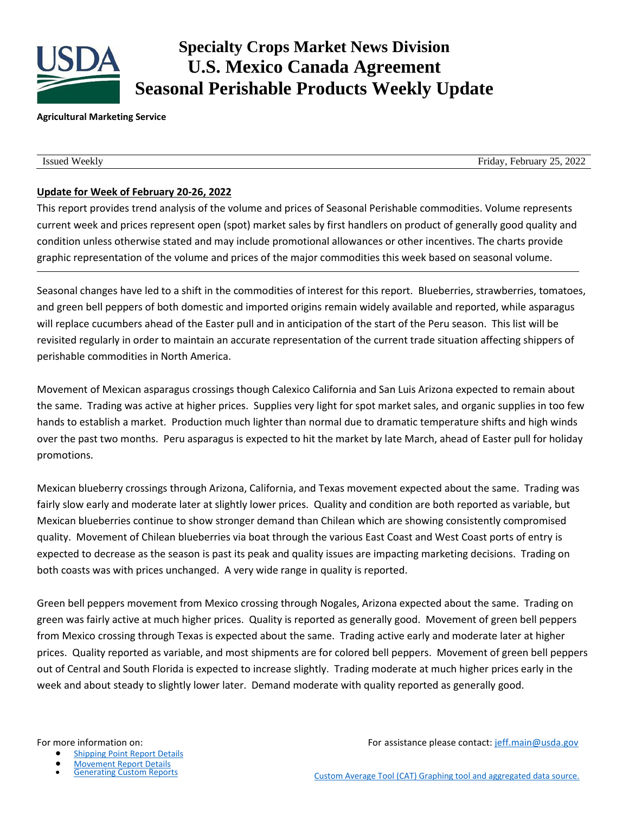

# **Specialty Crops Market News Division U.S. Mexico Canada Agreement Seasonal Perishable Products Weekly Update**

#### **Agricultural Marketing Service**

Issued Weekly Friday, February 25, 2022

## **Update for Week of February 20-26, 2022**

This report provides trend analysis of the volume and prices of Seasonal Perishable commodities. Volume represents current week and prices represent open (spot) market sales by first handlers on product of generally good quality and condition unless otherwise stated and may include promotional allowances or other incentives. The charts provide graphic representation of the volume and prices of the major commodities this week based on seasonal volume.

Seasonal changes have led to a shift in the commodities of interest for this report. Blueberries, strawberries, tomatoes, and green bell peppers of both domestic and imported origins remain widely available and reported, while asparagus will replace cucumbers ahead of the Easter pull and in anticipation of the start of the Peru season. This list will be revisited regularly in order to maintain an accurate representation of the current trade situation affecting shippers of perishable commodities in North America.

Movement of Mexican asparagus crossings though Calexico California and San Luis Arizona expected to remain about the same. Trading was active at higher prices. Supplies very light for spot market sales, and organic supplies in too few hands to establish a market. Production much lighter than normal due to dramatic temperature shifts and high winds over the past two months. Peru asparagus is expected to hit the market by late March, ahead of Easter pull for holiday promotions.

Mexican blueberry crossings through Arizona, California, and Texas movement expected about the same. Trading was fairly slow early and moderate later at slightly lower prices. Quality and condition are both reported as variable, but Mexican blueberries continue to show stronger demand than Chilean which are showing consistently compromised quality. Movement of Chilean blueberries via boat through the various East Coast and West Coast ports of entry is expected to decrease as the season is past its peak and quality issues are impacting marketing decisions. Trading on both coasts was with prices unchanged. A very wide range in quality is reported.

Green bell peppers movement from Mexico crossing through Nogales, Arizona expected about the same. Trading on green was fairly active at much higher prices. Quality is reported as generally good. Movement of green bell peppers from Mexico crossing through Texas is expected about the same. Trading active early and moderate later at higher prices. Quality reported as variable, and most shipments are for colored bell peppers. Movement of green bell peppers out of Central and South Florida is expected to increase slightly. Trading moderate at much higher prices early in the week and about steady to slightly lower later. Demand moderate with quality reported as generally good.

- [Shipping Point Report Details](https://www.marketnews.usda.gov/mnp/fv-help-15)
- **[Movement Report Details](https://www.marketnews.usda.gov/mnp/fv-help-16)<br>Generating Custom Reports**

For more information on: The same of the set of the set of the set of the set of the set of the set of the set of the set of the set of the set of the set of the set of the set of the set of the set of the set of the set o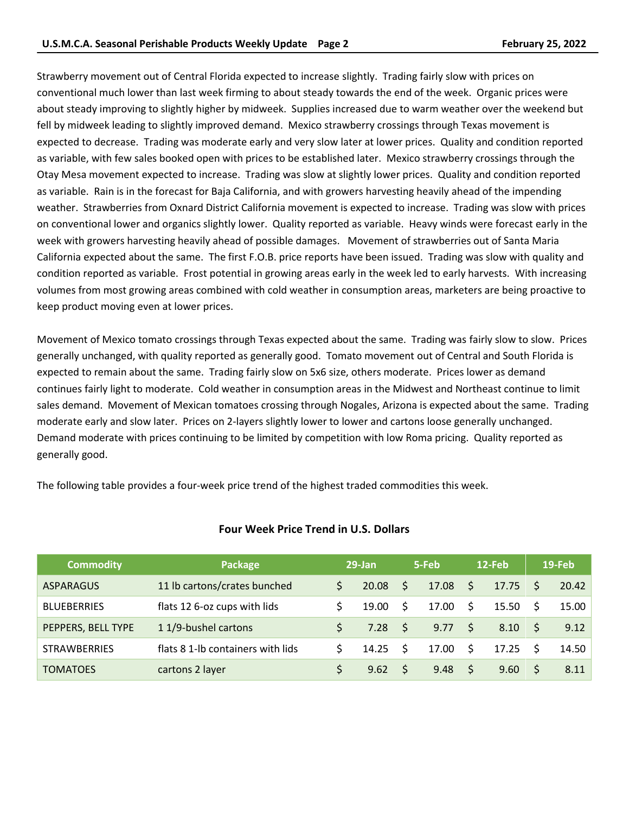Strawberry movement out of Central Florida expected to increase slightly. Trading fairly slow with prices on conventional much lower than last week firming to about steady towards the end of the week. Organic prices were about steady improving to slightly higher by midweek. Supplies increased due to warm weather over the weekend but fell by midweek leading to slightly improved demand. Mexico strawberry crossings through Texas movement is expected to decrease. Trading was moderate early and very slow later at lower prices. Quality and condition reported as variable, with few sales booked open with prices to be established later. Mexico strawberry crossings through the Otay Mesa movement expected to increase. Trading was slow at slightly lower prices. Quality and condition reported as variable. Rain is in the forecast for Baja California, and with growers harvesting heavily ahead of the impending weather. Strawberries from Oxnard District California movement is expected to increase. Trading was slow with prices on conventional lower and organics slightly lower. Quality reported as variable. Heavy winds were forecast early in the week with growers harvesting heavily ahead of possible damages. Movement of strawberries out of Santa Maria California expected about the same. The first F.O.B. price reports have been issued. Trading was slow with quality and condition reported as variable. Frost potential in growing areas early in the week led to early harvests. With increasing volumes from most growing areas combined with cold weather in consumption areas, marketers are being proactive to keep product moving even at lower prices.

Movement of Mexico tomato crossings through Texas expected about the same. Trading was fairly slow to slow. Prices generally unchanged, with quality reported as generally good. Tomato movement out of Central and South Florida is expected to remain about the same. Trading fairly slow on 5x6 size, others moderate. Prices lower as demand continues fairly light to moderate. Cold weather in consumption areas in the Midwest and Northeast continue to limit sales demand. Movement of Mexican tomatoes crossing through Nogales, Arizona is expected about the same. Trading moderate early and slow later. Prices on 2-layers slightly lower to lower and cartons loose generally unchanged. Demand moderate with prices continuing to be limited by competition with low Roma pricing. Quality reported as generally good.

The following table provides a four-week price trend of the highest traded commodities this week.

| <b>Commodity</b>    | Package                           |    | $29$ -Jan       |              | 5-Feb |                     | $12$ -Feb |    | 19-Feb |
|---------------------|-----------------------------------|----|-----------------|--------------|-------|---------------------|-----------|----|--------|
| <b>ASPARAGUS</b>    | 11 lb cartons/crates bunched      |    | 20.08           | -S           | 17.08 | $\ddot{\mathsf{S}}$ | 17.75     | S. | 20.42  |
| <b>BLUEBERRIES</b>  | flats 12 6-oz cups with lids      |    | 19.00           | S.           | 17.00 | Ŝ.                  | 15.50     | S. | 15.00  |
| PEPPERS, BELL TYPE  | 11/9-bushel cartons               | S. | 7.28            | - S          | 9.77  | - \$                | 8.10      |    | 9.12   |
| <b>STRAWBERRIES</b> | flats 8 1-lb containers with lids |    | $14.25 \quad S$ |              | 17.00 | S.                  | 17.25     | S. | 14.50  |
| <b>TOMATOES</b>     | cartons 2 layer                   |    | 9.62            | <sup>S</sup> | 9.48  | - \$                | 9.60      |    | 8.11   |

#### **Four Week Price Trend in U.S. Dollars**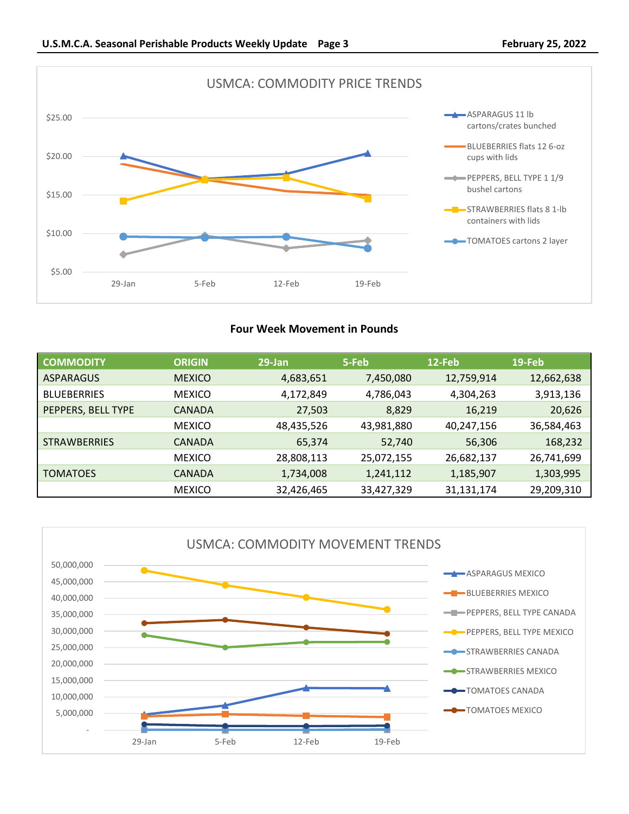

## **Four Week Movement in Pounds**

| <b>COMMODITY</b>    | <b>ORIGIN</b> | $29$ -Jan  | 5-Feb      | 12-Feb     | 19-Feb     |
|---------------------|---------------|------------|------------|------------|------------|
| <b>ASPARAGUS</b>    | <b>MEXICO</b> | 4,683,651  | 7,450,080  | 12,759,914 | 12,662,638 |
| <b>BLUEBERRIES</b>  | <b>MEXICO</b> | 4,172,849  | 4,786,043  | 4,304,263  | 3,913,136  |
| PEPPERS, BELL TYPE  | <b>CANADA</b> | 27,503     | 8,829      | 16,219     | 20,626     |
|                     | <b>MEXICO</b> | 48,435,526 | 43,981,880 | 40,247,156 | 36,584,463 |
| <b>STRAWBERRIES</b> | <b>CANADA</b> | 65,374     | 52,740     | 56,306     | 168,232    |
|                     | <b>MEXICO</b> | 28,808,113 | 25,072,155 | 26,682,137 | 26,741,699 |
| <b>TOMATOES</b>     | <b>CANADA</b> | 1,734,008  | 1,241,112  | 1,185,907  | 1,303,995  |
|                     | <b>MEXICO</b> | 32,426,465 | 33,427,329 | 31,131,174 | 29,209,310 |